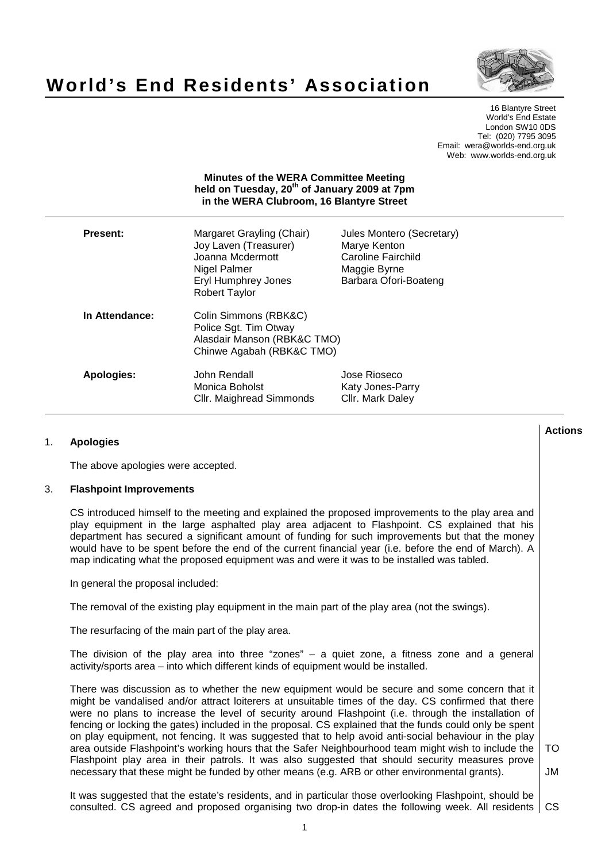

# **World's End Residents' Association**

16 Blantyre Street World's End Estate London SW10 0DS Tel: (020) 7795 3095 Email: wera@worlds-end.org.uk Web: www.worlds-end.org.uk

# **Minutes of the WERA Committee Meeting held on Tuesday, 20th of January 2009 at 7pm in the WERA Clubroom, 16 Blantyre Street**

| <b>Present:</b> | Margaret Grayling (Chair)<br>Joy Laven (Treasurer)<br>Joanna Mcdermott<br>Nigel Palmer<br><b>Eryl Humphrey Jones</b><br><b>Robert Taylor</b> | Jules Montero (Secretary)<br>Marye Kenton<br>Caroline Fairchild<br>Maggie Byrne<br>Barbara Ofori-Boateng |
|-----------------|----------------------------------------------------------------------------------------------------------------------------------------------|----------------------------------------------------------------------------------------------------------|
| In Attendance:  | Colin Simmons (RBK&C)<br>Police Sgt. Tim Otway<br>Alasdair Manson (RBK&C TMO)<br>Chinwe Agabah (RBK&C TMO)                                   |                                                                                                          |
| Apologies:      | John Rendall<br>Monica Boholst<br>Cllr. Maighread Simmonds                                                                                   | Jose Rioseco<br>Katy Jones-Parry<br>Cllr. Mark Daley                                                     |

# 1. **Apologies**

The above apologies were accepted.

## 3. **Flashpoint Improvements**

CS introduced himself to the meeting and explained the proposed improvements to the play area and play equipment in the large asphalted play area adjacent to Flashpoint. CS explained that his department has secured a significant amount of funding for such improvements but that the money would have to be spent before the end of the current financial year (i.e. before the end of March). A map indicating what the proposed equipment was and were it was to be installed was tabled.

In general the proposal included:

The removal of the existing play equipment in the main part of the play area (not the swings).

The resurfacing of the main part of the play area.

The division of the play area into three "zones" – a quiet zone, a fitness zone and a general activity/sports area – into which different kinds of equipment would be installed.

There was discussion as to whether the new equipment would be secure and some concern that it might be vandalised and/or attract loiterers at unsuitable times of the day. CS confirmed that there were no plans to increase the level of security around Flashpoint (i.e. through the installation of fencing or locking the gates) included in the proposal. CS explained that the funds could only be spent on play equipment, not fencing. It was suggested that to help avoid anti-social behaviour in the play area outside Flashpoint's working hours that the Safer Neighbourhood team might wish to include the Flashpoint play area in their patrols. It was also suggested that should security measures prove necessary that these might be funded by other means (e.g. ARB or other environmental grants).

TO

JM

It was suggested that the estate's residents, and in particular those overlooking Flashpoint, should be consulted. CS agreed and proposed organising two drop-in dates the following week. All residents CS

**Actions**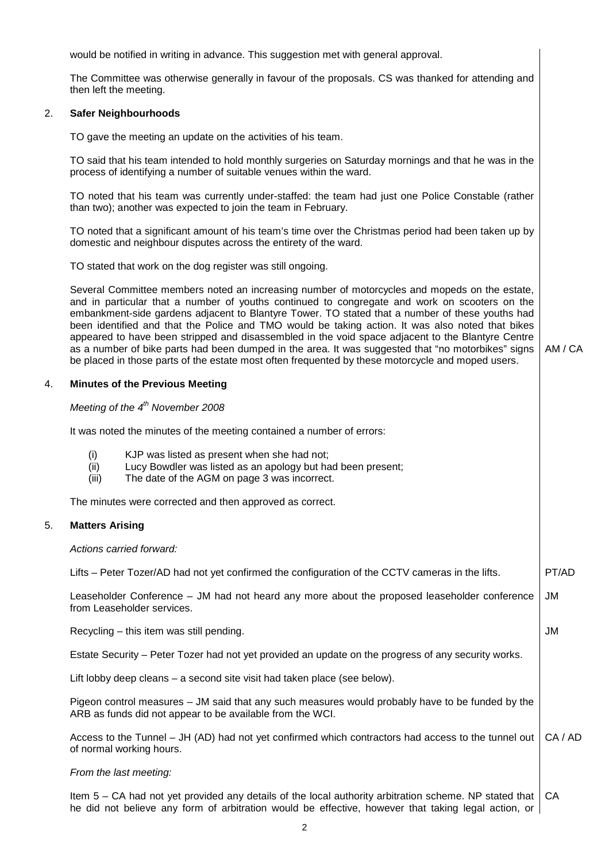would be notified in writing in advance. This suggestion met with general approval.

The Committee was otherwise generally in favour of the proposals. CS was thanked for attending and then left the meeting.

## 2. **Safer Neighbourhoods**

TO gave the meeting an update on the activities of his team.

TO said that his team intended to hold monthly surgeries on Saturday mornings and that he was in the process of identifying a number of suitable venues within the ward.

TO noted that his team was currently under-staffed: the team had just one Police Constable (rather than two); another was expected to join the team in February.

TO noted that a significant amount of his team's time over the Christmas period had been taken up by domestic and neighbour disputes across the entirety of the ward.

TO stated that work on the dog register was still ongoing.

Several Committee members noted an increasing number of motorcycles and mopeds on the estate, and in particular that a number of youths continued to congregate and work on scooters on the embankment-side gardens adjacent to Blantyre Tower. TO stated that a number of these youths had been identified and that the Police and TMO would be taking action. It was also noted that bikes appeared to have been stripped and disassembled in the void space adjacent to the Blantyre Centre as a number of bike parts had been dumped in the area. It was suggested that "no motorbikes" signs be placed in those parts of the estate most often frequented by these motorcycle and moped users.

AM / CA

JM

## 4. **Minutes of the Previous Meeting**

## Meeting of the  $4<sup>th</sup>$  November 2008

It was noted the minutes of the meeting contained a number of errors:

- (i) KJP was listed as present when she had not;
- (ii) Lucy Bowdler was listed as an apology but had been present;
- (iii) The date of the AGM on page 3 was incorrect.

The minutes were corrected and then approved as correct.

## 5. **Matters Arising**

## Actions carried forward:

Lifts – Peter Tozer/AD had not yet confirmed the configuration of the CCTV cameras in the lifts. Leaseholder Conference – JM had not heard any more about the proposed leaseholder conference from Leaseholder services. PT/AD JM

Recycling – this item was still pending.

Estate Security – Peter Tozer had not yet provided an update on the progress of any security works.

Lift lobby deep cleans – a second site visit had taken place (see below).

Pigeon control measures – JM said that any such measures would probably have to be funded by the ARB as funds did not appear to be available from the WCI.

Access to the Tunnel – JH (AD) had not yet confirmed which contractors had access to the tunnel out of normal working hours. CA / AD

## From the last meeting:

Item  $5 - CA$  had not yet provided any details of the local authority arbitration scheme. NP stated that he did not believe any form of arbitration would be effective, however that taking legal action, or **CA**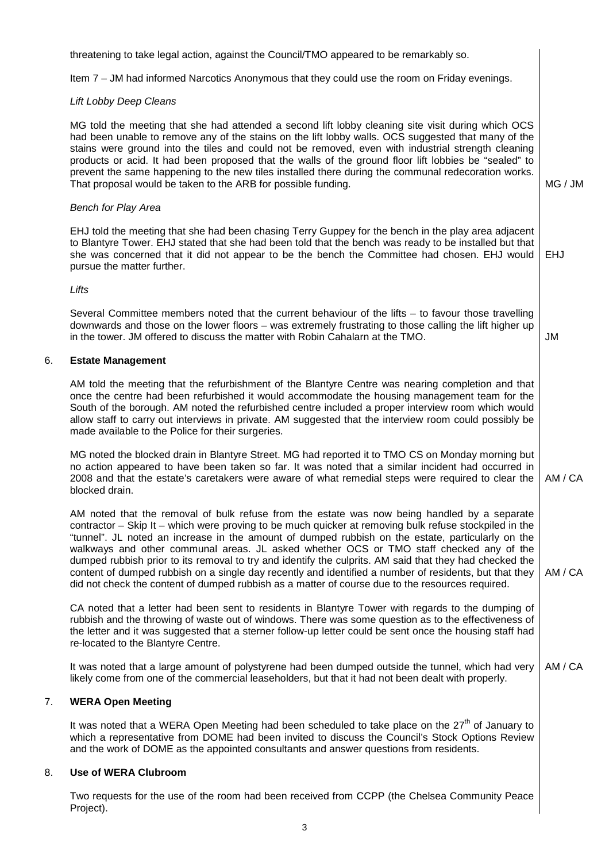threatening to take legal action, against the Council/TMO appeared to be remarkably so.

Item 7 – JM had informed Narcotics Anonymous that they could use the room on Friday evenings.

## Lift Lobby Deep Cleans

MG told the meeting that she had attended a second lift lobby cleaning site visit during which OCS had been unable to remove any of the stains on the lift lobby walls. OCS suggested that many of the stains were ground into the tiles and could not be removed, even with industrial strength cleaning products or acid. It had been proposed that the walls of the ground floor lift lobbies be "sealed" to prevent the same happening to the new tiles installed there during the communal redecoration works. That proposal would be taken to the ARB for possible funding. MG / JM

#### Bench for Play Area

EHJ told the meeting that she had been chasing Terry Guppey for the bench in the play area adjacent to Blantyre Tower. EHJ stated that she had been told that the bench was ready to be installed but that she was concerned that it did not appear to be the bench the Committee had chosen. EHJ would pursue the matter further. EHJ

## Lifts

Several Committee members noted that the current behaviour of the lifts – to favour those travelling downwards and those on the lower floors – was extremely frustrating to those calling the lift higher up in the tower. JM offered to discuss the matter with Robin Cahalarn at the TMO. JM

## 6. **Estate Management**

AM told the meeting that the refurbishment of the Blantyre Centre was nearing completion and that once the centre had been refurbished it would accommodate the housing management team for the South of the borough. AM noted the refurbished centre included a proper interview room which would allow staff to carry out interviews in private. AM suggested that the interview room could possibly be made available to the Police for their surgeries.

MG noted the blocked drain in Blantyre Street. MG had reported it to TMO CS on Monday morning but no action appeared to have been taken so far. It was noted that a similar incident had occurred in 2008 and that the estate's caretakers were aware of what remedial steps were required to clear the blocked drain. AM / CA

AM noted that the removal of bulk refuse from the estate was now being handled by a separate contractor – Skip It – which were proving to be much quicker at removing bulk refuse stockpiled in the "tunnel". JL noted an increase in the amount of dumped rubbish on the estate, particularly on the walkways and other communal areas. JL asked whether OCS or TMO staff checked any of the dumped rubbish prior to its removal to try and identify the culprits. AM said that they had checked the content of dumped rubbish on a single day recently and identified a number of residents, but that they did not check the content of dumped rubbish as a matter of course due to the resources required. AM / CA

CA noted that a letter had been sent to residents in Blantyre Tower with regards to the dumping of rubbish and the throwing of waste out of windows. There was some question as to the effectiveness of the letter and it was suggested that a sterner follow-up letter could be sent once the housing staff had re-located to the Blantyre Centre.

It was noted that a large amount of polystyrene had been dumped outside the tunnel, which had very likely come from one of the commercial leaseholders, but that it had not been dealt with properly. AM / CA

# 7. **WERA Open Meeting**

It was noted that a WERA Open Meeting had been scheduled to take place on the  $27<sup>th</sup>$  of January to which a representative from DOME had been invited to discuss the Council's Stock Options Review and the work of DOME as the appointed consultants and answer questions from residents.

## 8. **Use of WERA Clubroom**

Two requests for the use of the room had been received from CCPP (the Chelsea Community Peace Project).